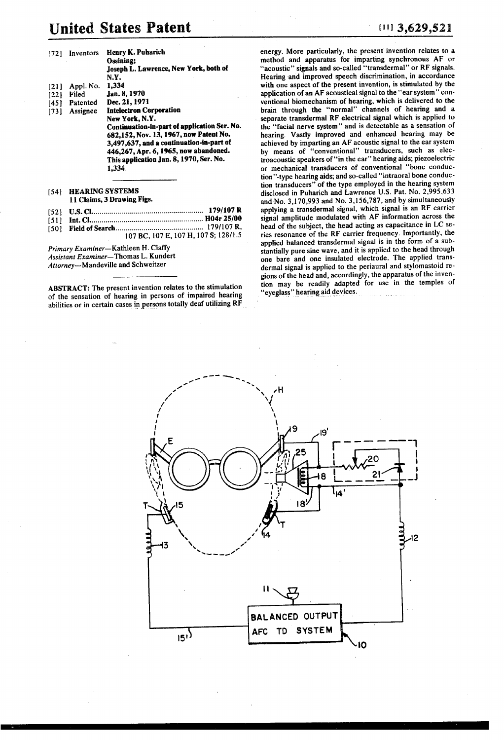# United States Patent (11) 3,629,521

| [72] | Inventors                  | <b>Henry K. Puharich</b><br>Ossining:<br>Joseph L. Lawrence, New York, both of<br>N.Y. |  |
|------|----------------------------|----------------------------------------------------------------------------------------|--|
| [21] | Appl. No.                  | 1,334                                                                                  |  |
| [22] | Filed                      | Jan. 8, 1970                                                                           |  |
|      | [45] Patented              | Dec. 21, 1971                                                                          |  |
| 1731 | Assignee                   | <b>Intelectron Corporation</b>                                                         |  |
|      |                            | New York, N.Y.                                                                         |  |
|      |                            | Continuation-in-part of application Ser. No.                                           |  |
|      |                            | 682,152, Nov. 13, 1967, now Patent No.                                                 |  |
|      |                            | 3,497,637, and a continuation-in-part of<br>446,267, Apr. 6, 1965, now abandoned.      |  |
|      |                            | This application Jan. 8, 1970, Ser. No.                                                |  |
|      |                            | 1.334                                                                                  |  |
|      |                            |                                                                                        |  |
| [54] | <b>HEARING SYSTEMS</b>     |                                                                                        |  |
|      | 11 Claims, 3 Drawing Figs. |                                                                                        |  |

|                        | 179/107 R |
|------------------------|-----------|
|                        |           |
| (CA) - Field of Coorch | 179/107 R |

107 BC, 107 E, 107 H, 107 S; 128/1.5

Primary Examiner-Kathleen H. Claffy Assistant Examiner-Thomas L. Kundert Attorney-Mandeville and Schweitzer

ABSTRACT: The present invention relates to the stimulation of the sensation of hearing in persons of impaired hearing abilities or in certain cases in persons totally deaf utilizing RF

energy. More particularly, the present invention relates to a method and apparatus for imparting synchronous AF or Hearing and improved speech discrimination, in accordance with one aspect of the present invention, is stimulated by the application of an AF acoustical signal to the "ear system" conventional biomechanism of hearing, which is delivered to the brain through the "normal' channels of hearing and a separate transdermal RF electrical signal which is applied to the "facial nerve system" and is detectable as a sensation of hearing. Vastly improved and enhanced hearing may be achieved by imparting an AF acoustic signal to the ear system by means of "conventional" transducers, such as electroacoustic speakers of "in the ear" hearing aids; piezoelectric or mechanical transducers of conventional "bone conduc tion''-type hearing aids; and so-called "intraoral bone conduc-<br>tion transducers" of the type employed in the hearing system disclosed in Puharich and Lawrence U.S. Pat. No. 2,995,633<br>and No. 3,170,993 and No. 3,156,787, and by simultaneously applying a transdermal signal, which signal is an RF carrier signal amplitude modulated with AF information across the head of the subject, the head acting as capacitance in LC se ries resonance of the RF carrier frequency. Importantly, the applied balanced transdermal signal is in the form of a substantially pure sine wave, and it is applied to the head through one bare and one insulated electrode. The applied trans dermal signal is applied to the periaural and stylomastoid re tion may be readily adapted for use in the temples of "eyeglass" hearing aid devices.

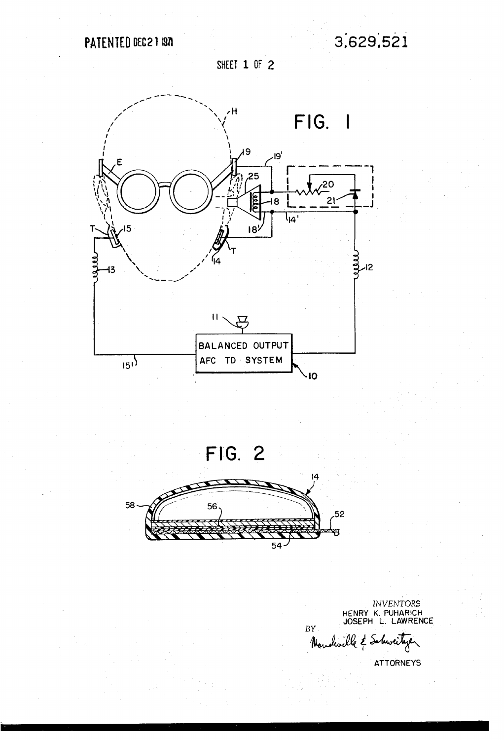SHEET 1 OF 2



FIG. 2



INVENTORS<br>HENRY K. PUHARICH<br>JOSEPH L. LAWRENCE

 $BY$ dwille & Schweitzer  $\frac{1}{2}$ 

**ATTORNEYS**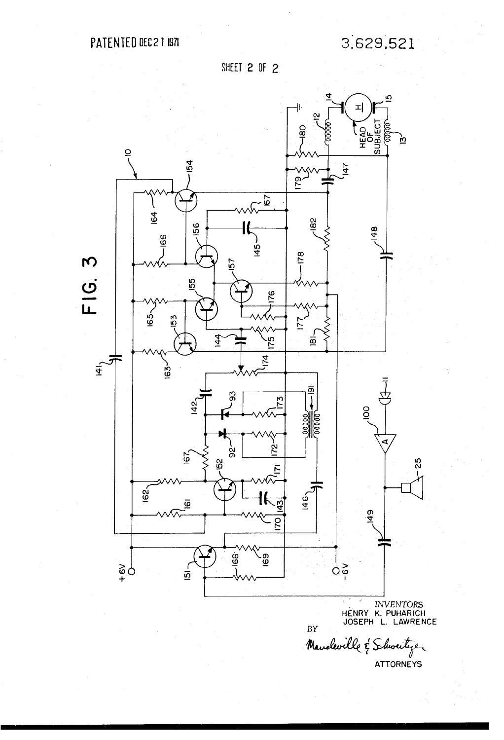PATENTED DEC 2 1 1971

3,629,521

SHEET 2 OF 2



**ATTORNEYS**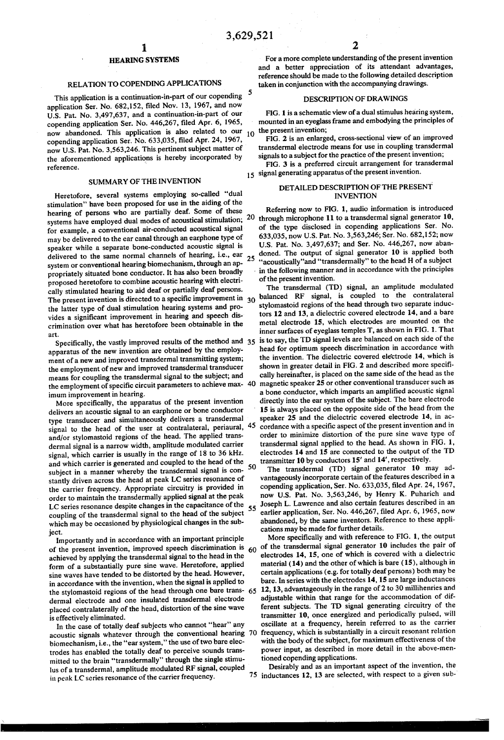## RELATION TO COPENDINGAPPLICATIONS

This application is a continuation-in-part of our copending application Ser. No. 682,152, filed Nov. 13, 1967, and now U.S. Pat. No. 3,497,637, and a continuation-in-part of our copending application Ser. No. 446,267, filed Apr. 6, 1965, now abandoned. This application is also related to our  $10^{-10}$ copending application Ser. No. 633,035, filed Apr. 24, 1967, now U.S. Pat. No. 3,563,246. This pertinent subject matter of the aforementioned applications is hereby incorporated by reference.

## SUMMARY OF THE INVENTION

Heretofore, several systems employing so-called "dual stimulation' have been proposed for use in the aiding of the hearing of persons who are partially deaf. Some of these systems have employed dual modes of acoustical stimulation; 20 for example, a conventional air-conducted acoustical signal may be delivered to the ear canal through an earphone type of speaker while a separate bone-conducted acoustic signal is delivered to the same normal channels of hearing, i.e., ear<br>system or conventional hearing biomechanism, through an appropriately situated bone conductor. It has also been broadly proposed heretofore to combine acoustic hearing with electrically stimulated hearing to aid deaf or partially deaf persons. cally stimulated hearing to aid dear or partially deal persons.<br>The present invention is directed to a specific improvement in 30 the latter type of dual stimulation hearing systems and provides a significant improvement in hearing and speech discrimination over what has heretofore been obtainable in the art.

Specifically, the vastly improved results of the method and 35 apparatus of the new invention are obtained by the employ ment of a new and improved transdermal transmitting system; the employment of new and improved transdermal transducer means for coupling the transdermal signal to the subject; and the employment of specific circuit parameters to achieve max-40

imum improvement in hearing. More specifically, the apparatus of the present invention delivers an acoustic signal to an earphone or bone conductor type transducer and simultaneously delivers a transdermal and/or stylomastoid regions of the head. The applied transdermal signal is a narrow width, amplitude modulated carrier signal, which carrier is usually in the range of 18 to 36 kHz. and which carrier is generated and coupled to the head of the subject in a manner whereby the transdermal signal is con stantly driven across the head at peak LC series resonance of the carrier frequency. Appropriate circuitry is provided in order to maintain the transdermally applied signal at the peak LC series resonance despite changes in the capacitance of the coupling of the transdermal signal to the head of the subject which may be occasioned by physiological changes in the subsignal to the head of the user at contralateral, periaural, 45 55

ject. Importantly and in accordance with an important principle of the present invention, improved speech discrimination is achieved by applying the transdermal signal to the head in the form of a substantially pure sine wave. Heretofore, applied in accordance with the invention, when the signal is applied to the stylomastoid regions of the head through one bare trans- 65 dermal electrode and one insulated transdermal electrode placed contralaterally of the head, distortion of the sine wave

is effectively eliminated.<br>In the case of totally deaf subjects who cannot "hear" any biomechanism, i.e., the "ear system," the use of two bare electrodes has enabled the totally deaf to perceive sounds trans mitted to the brain "transdermally" through the single stimu-<br>lus of a transdermal, amplitude modulated RF signal, coupled in peak LC series resonance of the carrier frequency. acoustic signals whatever through the conventional hearing 70

For a more complete understanding of the present invention<br>and a better appreciation of its attendant advantages, reference should be made to the following detailed description taken in conjunction with the accompanying drawings.

#### DESCRIPTION OF DRAWINGS

FIG. 1 is a schematic view of a dual stimulus hearing system, mounted in an eyeglass frame and embodying the principles of

the present invention;<br>FIG. 2 is an enlarged, cross-sectional view of an improved transdermal electrode means for use in coupling transdermal signals to a subject for the practice of the present invention;

15 signal generating apparatus of the present invention. FIG. 3 is a preferred circuit arrangement for transdermal

### DETAILED DESCRIPTION OF THE PRESENT INVENTION

25 "acoustically" and "transdermally" to the head H of a subject Referring now to FIG. 1, audio information is introduced through microphone 11 to a transdermal signal generator 10, of the type disclosed in copending applications Ser. No. 633,035, now U.S. Pat. No. 3,563,246; Ser. No. 682,152; now U.S. Pat. No. 3,497,637; and Ser. No. 446,267, now aban doned. The output of signal generator 10 is applied both in the following manner and in accordance with the principles of the present invention.

The transdermal (TD) signal, an amplitude modulated balanced RF signal, is coupled to the contralateral stylomastoid regions of the head through two separate induc tors 12 and 13, a dielectric covered electrode 14, and a bare metal electrode 15, which electrodes are mounted on the inner surfaces of eyeglass temples T, as shown in FIG. 1. That is to say, the TD signal levels are balanced on each side of the head for optimum speech discrimination in accordance with the invention. The dielectric covered electrode 14, which is shown in greater detail in FIG. 2 and described more specifically hereinafter, is placed on the same side of the head as the magnetic speaker 25 or other conventional transducer such as a bone conductor, which imparts an amplified acoustic signal directly into the ear system of the subject. The bare electrode 15 is always placed on the opposite side of the head from the transmitter 10 by conductors  $15'$  and  $14'$ , respectively.<br>50 The transformal (TD) simple generator  $10 \text{ m}$ speaker 25 and the dielectric covered electrode 14, in ac cordance with a specific aspect of the present invention and in order to minimize distortion of the pure sine wave type of transdermal signal applied to the head. As shown in FIG. 1, electrodes 14 and 15 are connected to the output of the TD

The transdermal (TD) signal generator 10 may advantageously incorporate certain of the features described in a copending application, Ser. No. 633,035, filed Apr. 24, 1967, now U.S. Pat. No. 3,563,246, by Henry K. Puharich and Joseph L. Lawrence and also certain features described in an earlier application, Ser. No. 446,267, filed Apr. 6, 1965, now abandoned, by the same inventors. Reference to these applications may be made for further details.<br>More specifically and with reference to FIG. 1, the output

60 of the transdermal signal generator 10 includes the pair of electrodes 14, 15, one of which is covered with a dielectric material (14) and the other of which is bare (15), although in certain applications (e.g. for totally deaf persons) both may be bare. In series with the electrodes 14, 15 are large inductances 12, 13, advantageously in the range of 2 to 30 millihenries and adjustable within that range for the accommodation of dif ferent subjects. The TD signal generating circuitry of the transmitter 10, once energized and periodically pulsed, will oscillate at a frequency, herein referred to as the carrier frequency, which is substantially in a circuit resonant relation with the body of the subject, for maximum effectiveness of the power input, as described in more detail in the above-men

75 inductances 12, 13 are selected, with respect to a given sub Desirably and as an important aspect of the invention, the

---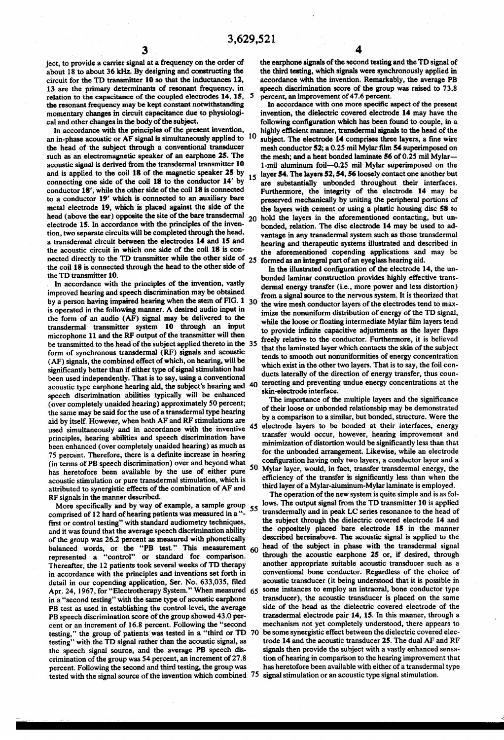ject, to provide a carrier signal at a frequency on the order of about 18 to about 36 kHz. By designing and constructing the circuit for the TD transmitter 10 so that the inductances 12, 13 are the primary determinants of resonant frequency, in relation to the capacitance of the coupled electrodes 14, 15, the resonant frequency may be kept constant notwithstanding momentary changes in circuit capacitance due to physiologi cal and other changes in the body of the subject.

In accordance with the principles of the present invention, an in-phase acoustic or AF signal is simultaneously applied to  $10$ the head of the subject through a conventional transducer such as an electromagnetic speaker of an earphone 25. The acoustic signal is derived from the transdermal transmitter 10 and is applied to the coil 18 of the magnetic speaker 25 by connecting one side of the coil 18 to the conductor  $14'$  by conductor  $18'$ , while the other side of the coil 18 is connected to a conductor 19' which is connected to an auxiliary bare metal electrode 19, which is placed against the side of the head (above the ear) opposite the site of the bare transdermal electrode 15. In accordance with the principles of the inven tion, two separate circuits will be completed through the head, a transdermal circuit between the electrodes 14 and 15 and the acoustic circuit in which one side of the coil 18 is con 20 nected directly to the TD transmitter while the other side of 25 the coil 18 is connected through the head to the other side of

the TD transmitter 10.<br>In accordance with the principles of the invention, vastly improved hearing and speech discrimination may be obtained by a person having impaired hearing when the stem of FIG. 1 30 is operated in the following manner. A desired audio input in the form of an audio  $(AF)$  signal may be delivered to the transdermal transmitter system 10 through an input microphone 11 and the RF output of the transmitter will then be transmitted to the head of the subject applied thereto in the 35 form of synchronous transdermal (RF) signals and acoustic (AF) signals, the combined effect of which, on hearing, will be significantly better than if either type of signal stimulation had been used independently. That is to say, using a conventional acoustic type earphone hearing aid, the subject's hearing and 40 speech discrimination abilities typically will be enhanced (over completely unaided hearing) approximately 50 percent; aid by itself. However, when both AF and RF stimulations are used simultaneously and in accordance with the inventive <sup>45</sup> principles, hearing abilities and speech discrimination have been enhanced (over completely unaided hearing) as much as 75 percent. Therefore, there is a definite increase in hearing 75 percent. Therefore, there is a definite increase in hearing (in terms of PB speech discrimination) over and beyond what has heretofore been available by the use of either pure 50<br>acoustic stimulation or pure transdermal stimulation, which is attributed to synergistic effects of the combination of AF and RF signals in the manner described.

comprised of 12 hard of hearing patients was measured in a "-<br>first or control testing" with standard audiometry techniques, and it was found that the average speech discrimination ability of the group was 26.2 percent as measured with phonetically balanced words, or the "PB test." This measurement 60 represented a "control" or standard for comparison. Thereafter, the 12 patients took several weeks of TD therapy in accordance with the principles and inventions set forth in detail in our copending application, Ser. No. 633,035, filed Apr. 24, 1967, for "Electrotherapy System." When measured 65 in a "second testing' with the same type of acoustic earphone PB test as used in establishing the control level, the average PB speech discrimination score of the group showed 43.0 per cent or an increment of 16.8 percent. Following the "second testing," the group of patients was tested in a "third or TD 70 testing" with the TD signal rather than the acoustic signal, as the speech signal source, and the average PB speech dis crimination of the group was 54 percent, an increment of 27.8 percent. Following the second and third testing, the group was percent. Following the second and third testing, the group was has neretorore been available with either or a transdermal type<br>tested with the signal source of the invention which combined 75 signal stimulation or an acous More specifically and by way of example, a sample group 55

the earphone signals of the second testing and the TD signal of the third testing, which signals were synchronously applied in accordance with the invention. Remarkably, the average PB speech discrimination score of the group was raised to 73.8 percent, an improvement of 47.6 percent.

15 In accordance with one more specific aspect of the present invention, the dielectric covered electrode 14 may have the following configuration which has been found to couple, in a highly efficient manner, transdermal signals to the head of the subject. The electrode 14 comprises three layers, a fine wire mesh conductor 52; a 0.25 mil Mylar film 54 superimposed on the mesh; and a heat bonded laminate 56 of 0.25 mil Mylar— 1-mil aluminum foil-0.25 mil Mylar superimposed on the layer 54. The layers 52,54, 56 loosely contact one another but are substantially unbonded throughout their interfaces. Furthermore, the integrity of the electrode 14 may be preserved mechanically by uniting the peripheral portions of the layers with cement or using a plastic housing disc 58 to hold the layers in the aforementioned contacting, but un bonded, relation. The disc electrode 14 may be used to ad vantage in any transdermal system such as those transdermal hearing and therapeutic systems illustrated and described in the aforementioned copending applications and may be formed as an integral part of an eyeglass hearing aid,

In the illustrated configuration of the electrode 14, the un bonded laminar construction provides highly effective trans dermal energy transfer (i.e., more power and less distortion) from a signal source to the nervous system. It is theorized that the wire mesh conductor layers of the electrodes tend to maximize the nonuniform distribution of energy of the TD signal, while the loose or floating intermediate Mylar film layers tend to provide infinite capacitive adjustments as the layer flaps freely relative to the conductor. Furthermore, it is believed that the laminated layer which contacts the skin of the subject tends to smooth out nonuniformities of energy concentration which exist in the other two layers. That is to say, the foil con ducts laterally of the direction of energy transfer, thus coun teracting and preventing undue energy concentrations at the skin-electrode interface.

The importance of the multiple layers and the significance of their loose or unbonded relationship may be demonstrated by a comparison to a similar, but bonded, structure. Were the electrode layers to be bonded at their interfaces, energy transfer would occur, however, hearing improvement and minimization of distortion would be significantly less than that for the unbonded arrangement. Likewise, while an electrode configuration having only two layers, a conductor layer and a Mylar layer, would, in fact, transfer transdermal energy, the efficiency of the transfer is significantly less than when the third layer of a Mylar-aluminum-Mylar laminate is employed.

The operation of the new system is quite simple and is as follows. The output signal from the TD transmitter 10 is applied transdermally and in peak LC series resonance to the head of the subject through the dielectric covered electrode 14 and the oppositely placed bare electrode 15 in the manner described hereinabove. The acoustic signal is applied to the head of the subject in phase with the transdermal signal through the acoustic earphone 25 or, if desired, through another appropriate suitable acoustic transducer such as a conventional bone conductor. Regardless of the choice of acoustic transducer (it being understood that it is possible in some instances to employ an intraoral, bone conductor type transducer), the acoustic transducer is placed on the same side of the head as the dielectric covered electrode of the transdermal electrode pair 14, 15. In this manner, through a mechanism not yet completely understood, there appears to be some synergistic effect between the dielectric covered elec trode 14 and the acoustic transducer 25. The dual AF and RF signals then provide the subject with a vastly enhanced sensa tion of hearing in comparison to the hearing improvement that has heretofore been available with either of a transdermal type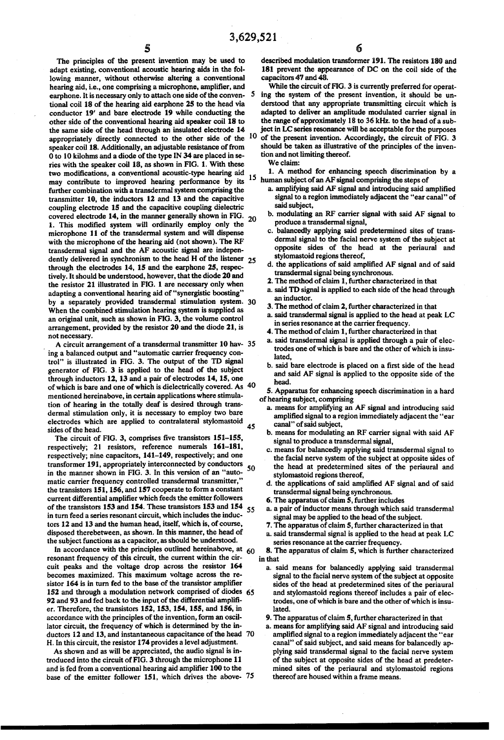The principles of the present invention may be used to adapt existing, conventional acoustic hearing aids in the following manner, without otherwise altering a conventional hearing aid, i.e., one comprising a microphone, amplifier, and earphone. It is necessary only to attach one side of the conven- 5 tional coil 8 of the hearing aid earphone 25 to the head via conductor 19' and bare electrode 19 while conducting the other side of the conventional hearing aid speaker coil 18 to the same side of the head through an insulated electrode 14 the same side of the head through an insulated electrode  $14$  ject in LC series resonance will be acceptable for the purposes appropriately directly connected to the other side of the  $10$  of the present invention. Accord speaker coil 18. Additionally, an adjustable resistance of from 0 to 10 kilohms and a diode of the type N 34 are placed in se ries with the speaker coil 18, as shown in FIG. 1. With these two modifications, a conventional acoustic-type hearing aid may contribute to improved hearing performance by its further combination with a transdermal system comprising the transmitter 10, the inductors 12 and 13 and the capacitive coupling electrode 15 and the capacitive coupling dielectric covered electrode 14, in the manner generally shown in FIG.  $_{20}$ 1. This modified system will ordinarily employ only the with the microphone of the hearing aid (not shown). The RF transdermal signal and the AF acoustic signal are indepentransdermal signal and the AF acoustic signal are independently delivered in synchronism to the head H of the listener 25 through the electrodes 14, 15 and the earphone 25, respectively. It should be understood, however, that the diode 20 and the resistor 21 illustrated in FIG. 1 are necessary only when adapting a conventional hearing aid of "synergistic boosting" adapting a conventional hearing aid of "synergistic boosting"<br>by a separately provided transdermal stimulation system.<br>When the combined stimulation hearing system is supplied as an original unit, such as shown in FIG. 3, the volume control arrangement, provided by the resistor 20 and the diode 21, is not necessary. 30

ing a balanced output and "automatic carrier frequency control" is illustrated in FIG. 3. The output of the TD signal generator of FIG. 3 is applied to the head of the subject through inductors 12, 13 and a pair of electrodes 14, 15, one of which is bare and one of which is dielectrically covered. As 40 mentioned hereinabove, in certain applications where stimula tion of hearing in the totally deaf is desired through trans dermal stimulation only, it is necessary to employ two bare electrodes which are applied to contralateral stylomastoid sides of the head. A circuit arrangement of a transdermal transmitter 10 hav- 35 45

The circuit of FIG. 3, comprises five transistors 151-155, respectively; 21 resistors, reference numerals 161-181, respectively; nine capacitors, 141-149, respectively; and one transformer 191, appropriately interconnected by conductors in the manner shown in FIG. 3. In this version of an "auto-<br>matic carrier frequency controlled transdermal transmitter," the transistors 151, 156, and 157 cooperate to form a constant current differential amplifier which feeds the emitter followers of the transistors 153 and 154. These transistors 153 and 154 in turn feed a series resonant circuit, which includes the induc tors 12 and 13 and the human head, itself, which is, of course, disposed therebetween, as shown. In this manner, the head of the subject functions as a capacitor, as should be understood. 50 55

In accordance with the principles outlined hereinabove, at 60 resonant frequency of this circuit, the current within the cir cuit peaks and the voltage drop across the resistor 164 becomes maximized. This maximum voltage across the re sistor 164 is in turn fed to the base of the transistor amplifier 152 and through a modulation network comprised of diodes 65 92 and 93 and fed back to the input of the differential amplifi er. Therefore, the transistors 152, 153, 154, 155, and 156, in accordance with the principles of the invention, form an oscil lator circuit, the frequency of which is determined by the in ductors 12 and 13, and instantaneous capacitance of the head 70 H. In this circuit, the resistor 174 provides a level adjustment.

As shown and as will be appreciated, the audio signal is in troduced into the circuit of FIG. 3 through the microphone 11 and is fed from a conventional hearing aid amplifier 100 to the base of the emitter follower 151, which drives the above- 75

described modulation transformer 191. The resistors 180 and 181 prevent the appearance of DC on the coil side of the capacitors 47 and 48.

ing the system of the present invention, it should be understood that any appropriate transmitting circuit which is adapted to deliver an amplitude modulated carrier signal in the range of approximately 18 to 36 kHz. to the head of a subject in LC series resonance will be acceptable for the purposes

should be taken as illustrative of the principles of the inven tion and not limiting thereof, We claim:

<sup>15</sup> human subject of an AF signal comprising the steps of 1. A method for enhancing speech discrimination by a

- a. amplifying said AF signal and introducing said amplified signal to a region immediately adjacent the "ear canal' of said subject,
- b. modulating an RF carrier signal with said AF signal to produce a transdermal signal,
- c. balancedly applying said predetermined sites of trans dermal signal to the facial nerve system of the subject at opposite sides of the head at the periaural and stylomastoid regions thereof,
- d. the applications of said amplified AF signal and of said transdermal signal being synchronous.
- 2. The method of claim 1, further characterized in that
- a. said TD signal is applied to each side of the head through an inductor.
- 3. The method of claim 2, further characterized in that
- a. said transdermal signal is applied to the head at peak LC
- 4. The method of claim 1, further characterized in that
- a. said transdermal signal is applied through a pair of electrodes one of which is bare and the other of which is insu lated,
- b. said bare electrode is placed on a first side of the head and said AF signal is applied to the opposite side of the head.

S. Apparatus for enhancing speech discrimination in a hard of hearing subject, comprising

- a. means for amplifying an AF signal and introducing said amplified signal to a region immediately adjacent the "ear
- b. means for modulating an RF carrier signal with said AF signal to produce a transdermal signal,
- c. means for balancedly applying said transdermal signal to the facial nerve system of the subject at opposite sides of the head at predetermined sites of the periaural and stylomastoid regions thereof,
- d. the applications of said amplified AF signal and of said transdermal signal being synchronous.
- 6. The apparatus of claim 5, further includes
- a. a pair of inductor means through which said transdermal signal may be applied to the head of the subject.
- 7. The apparatus of claim 5, further characterized in that
- a. said transdermal signal is applied to the head at peak LC
- 8. The apparatus of claim 5, which is further characterized in that
	- a. said means for balancedly applying said transdermal signal to the facial nerve system of the subject at opposite sides of the head at predetermined sites of the periaural and stylomastoid regions thereof includes a pair of electrodes, one of which is bare and the other of which is insulated.
	- 9. The apparatus of claim 5, further characterized in that
	- a. means for amplifying said AF signal and introducing said amplified signal to a region immediately adjacent the "ear canal" of said subject, and said means for balancedly applying said transdermal signal to the facial nerve system<br>of the subject at opposite sides of the head at predeter-<br>mined sites of the periaural and stylomastoid regions thereof are housed within a frame means.